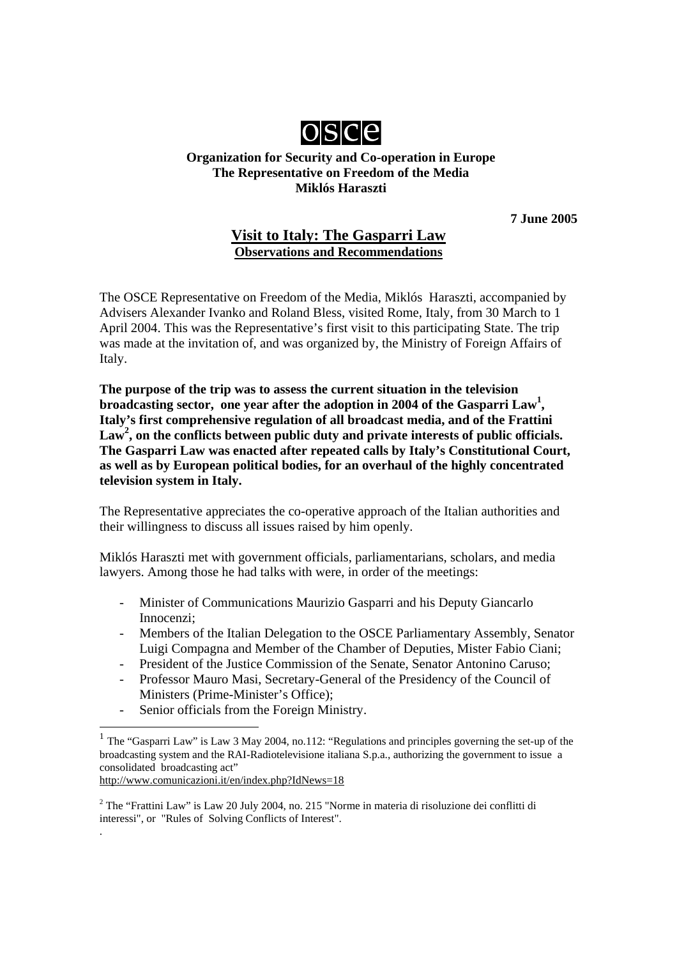

#### **Organization for Security and Co-operation in Europe The Representative on Freedom of the Media Miklós Haraszti**

**7 June 2005** 

# **Visit to Italy: The Gasparri Law Observations and Recommendations**

The OSCE Representative on Freedom of the Media, Miklós Haraszti, accompanied by Advisers Alexander Ivanko and Roland Bless, visited Rome, Italy, from 30 March to 1 April 2004. This was the Representative's first visit to this participating State. The trip was made at the invitation of, and was organized by, the Ministry of Foreign Affairs of Italy.

**The purpose of the trip was to assess the current situation in the television broadcasting sector, one year after the adoption in 2004 of the Gasparri Law<sup>1</sup>, Italy's first comprehensive regulation of all broadcast media, and of the Frattini**  Law<sup>2</sup>, on the conflicts between public duty and private interests of public officials. **The Gasparri Law was enacted after repeated calls by Italy's Constitutional Court, as well as by European political bodies, for an overhaul of the highly concentrated television system in Italy.** 

The Representative appreciates the co-operative approach of the Italian authorities and their willingness to discuss all issues raised by him openly.

Miklós Haraszti met with government officials, parliamentarians, scholars, and media lawyers. Among those he had talks with were, in order of the meetings:

- Minister of Communications Maurizio Gasparri and his Deputy Giancarlo Innocenzi;
- Members of the Italian Delegation to the OSCE Parliamentary Assembly, Senator Luigi Compagna and Member of the Chamber of Deputies, Mister Fabio Ciani;
- President of the Justice Commission of the Senate, Senator Antonino Caruso;
- Professor Mauro Masi, Secretary-General of the Presidency of the Council of Ministers (Prime-Minister's Office);
- Senior officials from the Foreign Ministry.

http://www.comunicazioni.it/en/index.php?IdNews=18

.

<sup>1</sup> The "Gasparri Law" is Law 3 May 2004, no.112: "Regulations and principles governing the set-up of the broadcasting system and the RAI-Radiotelevisione italiana S.p.a., authorizing the government to issue a consolidated broadcasting act"

<sup>&</sup>lt;sup>2</sup> The "Frattini Law" is Law 20 July 2004, no. 215 "Norme in materia di risoluzione dei conflitti di interessi", or "Rules of Solving Conflicts of Interest".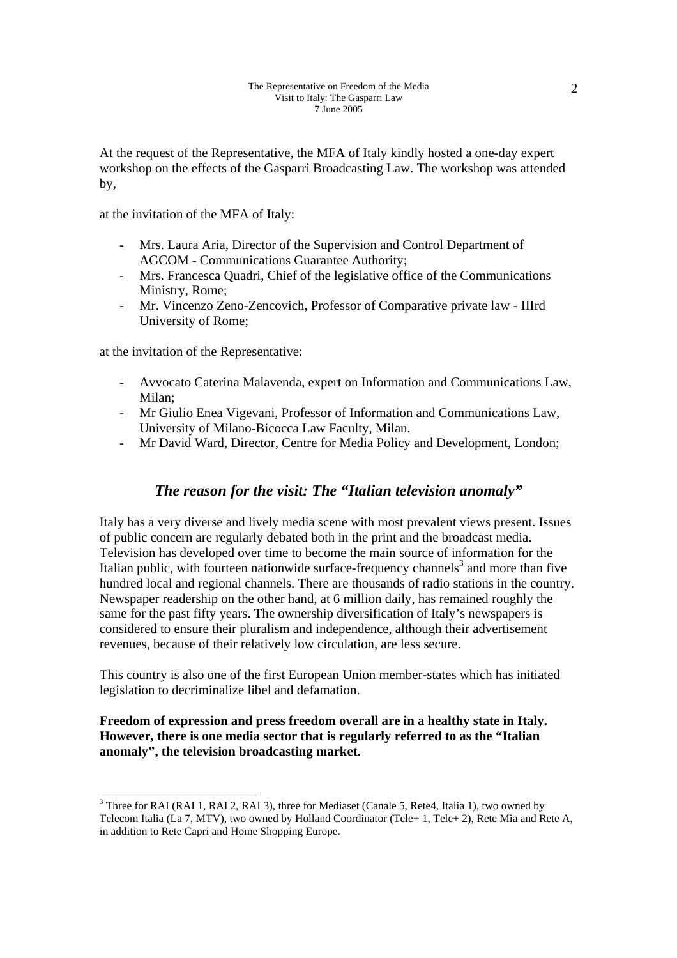At the request of the Representative, the MFA of Italy kindly hosted a one-day expert workshop on the effects of the Gasparri Broadcasting Law. The workshop was attended by,

at the invitation of the MFA of Italy:

- Mrs. Laura Aria, Director of the Supervision and Control Department of AGCOM - Communications Guarantee Authority;
- Mrs. Francesca Quadri, Chief of the legislative office of the Communications Ministry, Rome;
- Mr. Vincenzo Zeno-Zencovich, Professor of Comparative private law IIIrd University of Rome;

at the invitation of the Representative:

- Avvocato Caterina Malavenda, expert on Information and Communications Law, Milan;
- Mr Giulio Enea Vigevani, Professor of Information and Communications Law, University of Milano-Bicocca Law Faculty, Milan.
- Mr David Ward, Director, Centre for Media Policy and Development, London;

### *The reason for the visit: The "Italian television anomaly"*

Italy has a very diverse and lively media scene with most prevalent views present. Issues of public concern are regularly debated both in the print and the broadcast media. Television has developed over time to become the main source of information for the Italian public, with fourteen nationwide surface-frequency channels<sup>3</sup> and more than five hundred local and regional channels. There are thousands of radio stations in the country. Newspaper readership on the other hand, at 6 million daily, has remained roughly the same for the past fifty years. The ownership diversification of Italy's newspapers is considered to ensure their pluralism and independence, although their advertisement revenues, because of their relatively low circulation, are less secure.

This country is also one of the first European Union member-states which has initiated legislation to decriminalize libel and defamation.

**Freedom of expression and press freedom overall are in a healthy state in Italy. However, there is one media sector that is regularly referred to as the "Italian anomaly", the television broadcasting market.** 

 $3$  Three for RAI (RAI 1, RAI 2, RAI 3), three for Mediaset (Canale 5, Rete4, Italia 1), two owned by Telecom Italia (La 7, MTV), two owned by Holland Coordinator (Tele+ 1, Tele+ 2), Rete Mia and Rete A, in addition to Rete Capri and Home Shopping Europe.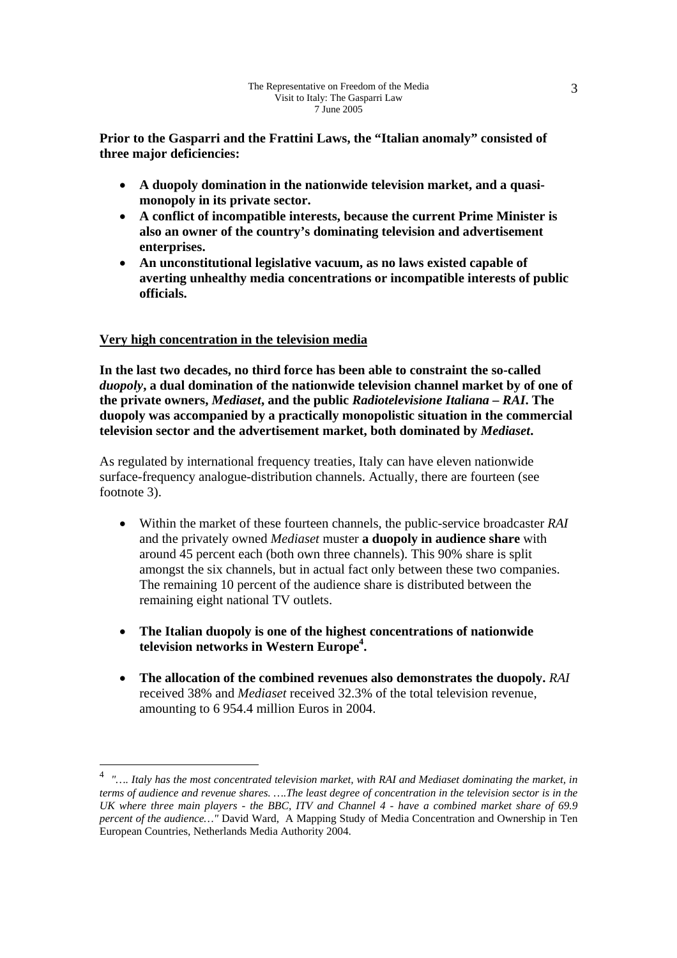**Prior to the Gasparri and the Frattini Laws, the "Italian anomaly" consisted of three major deficiencies:** 

- **A duopoly domination in the nationwide television market, and a quasimonopoly in its private sector.**
- **A conflict of incompatible interests, because the current Prime Minister is also an owner of the country's dominating television and advertisement enterprises.**
- **An unconstitutional legislative vacuum, as no laws existed capable of averting unhealthy media concentrations or incompatible interests of public officials.**

### **Very high concentration in the television media**

**In the last two decades, no third force has been able to constraint the so-called**  *duopoly***, a dual domination of the nationwide television channel market by of one of the private owners,** *Mediaset***, and the public** *Radiotelevisione Italiana – RAI***. The duopoly was accompanied by a practically monopolistic situation in the commercial television sector and the advertisement market, both dominated by** *Mediaset***.** 

As regulated by international frequency treaties, Italy can have eleven nationwide surface-frequency analogue-distribution channels. Actually, there are fourteen (see footnote 3).

- Within the market of these fourteen channels, the public-service broadcaster *RAI* and the privately owned *Mediaset* muster **a duopoly in audience share** with around 45 percent each (both own three channels). This 90% share is split amongst the six channels, but in actual fact only between these two companies. The remaining 10 percent of the audience share is distributed between the remaining eight national TV outlets.
- **The Italian duopoly is one of the highest concentrations of nationwide television networks in Western Europe4 .**
- **The allocation of the combined revenues also demonstrates the duopoly.** *RAI* received 38% and *Mediaset* received 32.3% of the total television revenue, amounting to 6 954.4 million Euros in 2004.

<sup>4</sup> *"…. Italy has the most concentrated television market, with RAI and Mediaset dominating the market, in terms of audience and revenue shares. ….The least degree of concentration in the television sector is in the UK where three main players - the BBC, ITV and Channel 4 - have a combined market share of 69.9 percent of the audience…"* David Ward, A Mapping Study of Media Concentration and Ownership in Ten European Countries, Netherlands Media Authority 2004.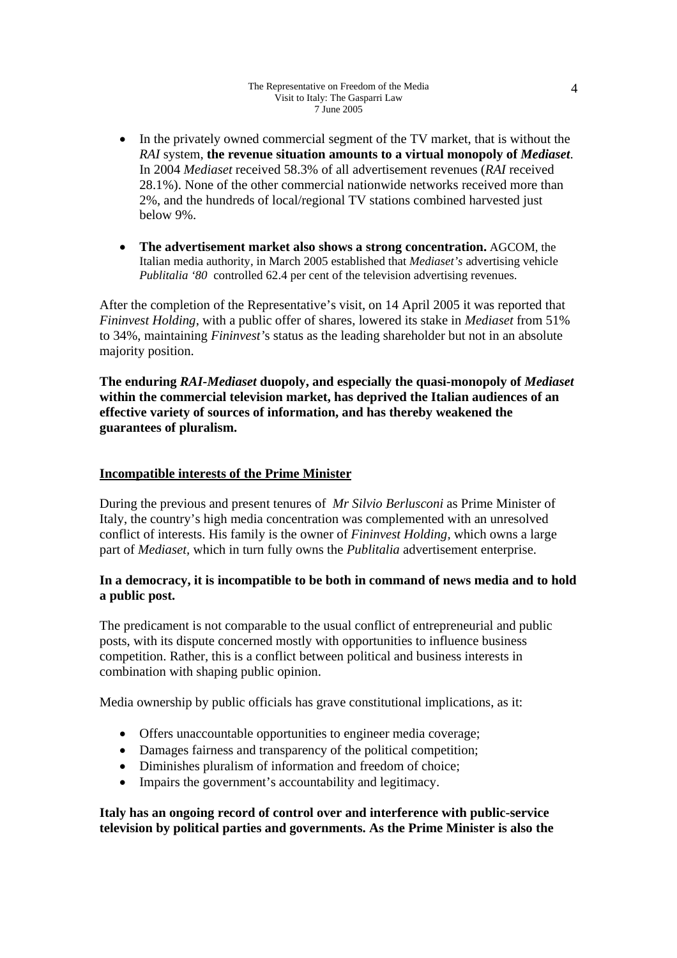#### The Representative on Freedom of the Media Visit to Italy: The Gasparri Law 7 June 2005

- In the privately owned commercial segment of the TV market, that is without the *RAI* system, **the revenue situation amounts to a virtual monopoly of** *Mediaset*. In 2004 *Mediaset* received 58.3% of all advertisement revenues (*RAI* received 28.1%). None of the other commercial nationwide networks received more than 2%, and the hundreds of local/regional TV stations combined harvested just below 9%.
- **The advertisement market also shows a strong concentration.** AGCOM, the Italian media authority, in March 2005 established that *Mediaset's* advertising vehicle *Publitalia '80* controlled 62.4 per cent of the television advertising revenues.

After the completion of the Representative's visit, on 14 April 2005 it was reported that *Fininvest Holding*, with a public offer of shares, lowered its stake in *Mediaset* from 51% to 34%, maintaining *Fininvest'*s status as the leading shareholder but not in an absolute majority position.

**The enduring** *RAI-Mediaset* **duopoly, and especially the quasi-monopoly of** *Mediaset* **within the commercial television market, has deprived the Italian audiences of an effective variety of sources of information, and has thereby weakened the guarantees of pluralism.** 

#### **Incompatible interests of the Prime Minister**

During the previous and present tenures of *Mr Silvio Berlusconi* as Prime Minister of Italy, the country's high media concentration was complemented with an unresolved conflict of interests. His family is the owner of *Fininvest Holding,* which owns a large part of *Mediaset,* which in turn fully owns the *Publitalia* advertisement enterprise.

#### **In a democracy, it is incompatible to be both in command of news media and to hold a public post.**

The predicament is not comparable to the usual conflict of entrepreneurial and public posts, with its dispute concerned mostly with opportunities to influence business competition. Rather, this is a conflict between political and business interests in combination with shaping public opinion.

Media ownership by public officials has grave constitutional implications, as it:

- Offers unaccountable opportunities to engineer media coverage;
- Damages fairness and transparency of the political competition:
- Diminishes pluralism of information and freedom of choice;
- Impairs the government's accountability and legitimacy.

**Italy has an ongoing record of control over and interference with public-service television by political parties and governments. As the Prime Minister is also the**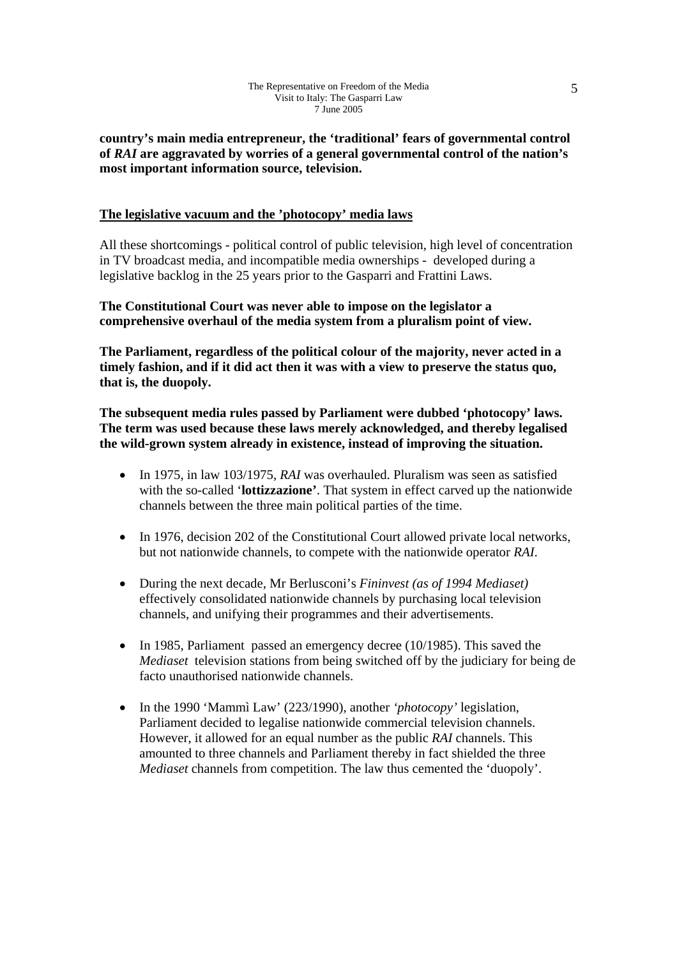**country's main media entrepreneur, the 'traditional' fears of governmental control of** *RAI* **are aggravated by worries of a general governmental control of the nation's most important information source, television.** 

#### **The legislative vacuum and the 'photocopy' media laws**

All these shortcomings - political control of public television, high level of concentration in TV broadcast media, and incompatible media ownerships - developed during a legislative backlog in the 25 years prior to the Gasparri and Frattini Laws.

**The Constitutional Court was never able to impose on the legislator a comprehensive overhaul of the media system from a pluralism point of view.** 

**The Parliament, regardless of the political colour of the majority, never acted in a timely fashion, and if it did act then it was with a view to preserve the status quo, that is, the duopoly.** 

**The subsequent media rules passed by Parliament were dubbed 'photocopy' laws. The term was used because these laws merely acknowledged, and thereby legalised the wild-grown system already in existence, instead of improving the situation.** 

- In 1975, in law 103/1975, *RAI* was overhauled. Pluralism was seen as satisfied with the so-called '**lottizzazione'**. That system in effect carved up the nationwide channels between the three main political parties of the time.
- In 1976, decision 202 of the Constitutional Court allowed private local networks, but not nationwide channels, to compete with the nationwide operator *RAI*.
- During the next decade, Mr Berlusconi's *Fininvest (as of 1994 Mediaset)* effectively consolidated nationwide channels by purchasing local television channels, and unifying their programmes and their advertisements.
- In 1985, Parliament passed an emergency decree (10/1985). This saved the *Mediaset* television stations from being switched off by the judiciary for being de facto unauthorised nationwide channels.
- In the 1990 'Mammì Law' (223/1990), another *'photocopy'* legislation, Parliament decided to legalise nationwide commercial television channels. However, it allowed for an equal number as the public *RAI* channels. This amounted to three channels and Parliament thereby in fact shielded the three *Mediaset* channels from competition. The law thus cemented the 'duopoly'.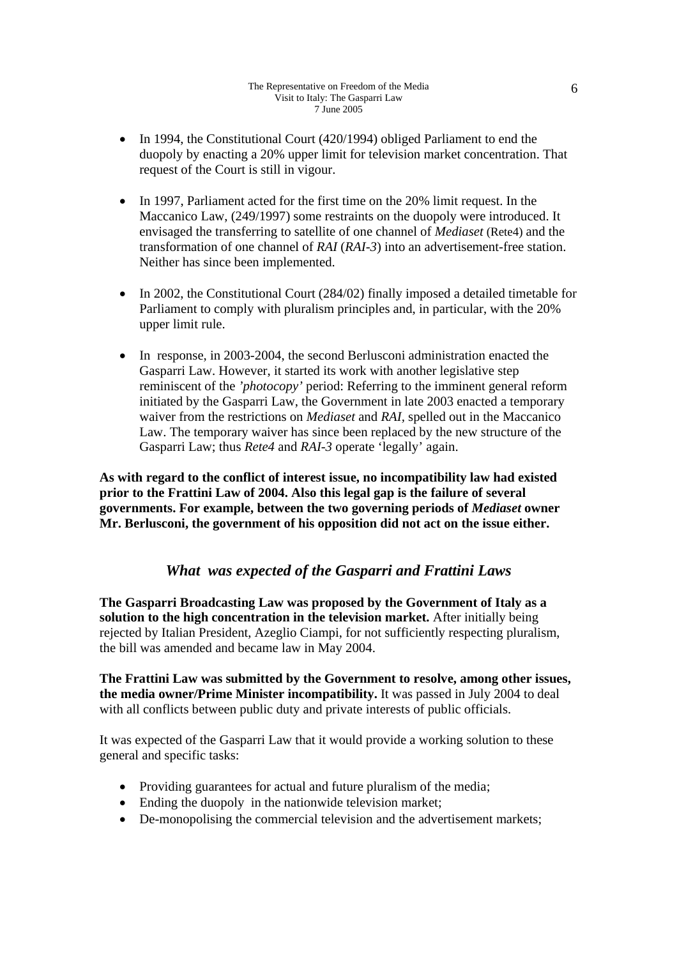- In 1994, the Constitutional Court (420/1994) obliged Parliament to end the duopoly by enacting a 20% upper limit for television market concentration. That request of the Court is still in vigour.
- In 1997, Parliament acted for the first time on the 20% limit request. In the Maccanico Law, (249/1997) some restraints on the duopoly were introduced. It envisaged the transferring to satellite of one channel of *Mediaset* (Rete4) and the transformation of one channel of *RAI* (*RAI-3*) into an advertisement-free station. Neither has since been implemented.
- In 2002, the Constitutional Court (284/02) finally imposed a detailed timetable for Parliament to comply with pluralism principles and, in particular, with the 20% upper limit rule.
- In response, in 2003-2004, the second Berlusconi administration enacted the Gasparri Law. However, it started its work with another legislative step reminiscent of the *'photocopy'* period: Referring to the imminent general reform initiated by the Gasparri Law, the Government in late 2003 enacted a temporary waiver from the restrictions on *Mediaset* and *RAI,* spelled out in the Maccanico Law. The temporary waiver has since been replaced by the new structure of the Gasparri Law; thus *Rete4* and *RAI-3* operate 'legally' again.

**As with regard to the conflict of interest issue, no incompatibility law had existed prior to the Frattini Law of 2004. Also this legal gap is the failure of several governments. For example, between the two governing periods of** *Mediaset* **owner Mr. Berlusconi, the government of his opposition did not act on the issue either.** 

# *What was expected of the Gasparri and Frattini Laws*

**The Gasparri Broadcasting Law was proposed by the Government of Italy as a solution to the high concentration in the television market.** After initially being rejected by Italian President, Azeglio Ciampi, for not sufficiently respecting pluralism, the bill was amended and became law in May 2004.

**The Frattini Law was submitted by the Government to resolve, among other issues, the media owner/Prime Minister incompatibility.** It was passed in July 2004 to deal with all conflicts between public duty and private interests of public officials.

It was expected of the Gasparri Law that it would provide a working solution to these general and specific tasks:

- Providing guarantees for actual and future pluralism of the media;
- Ending the duopoly in the nationwide television market;
- De-monopolising the commercial television and the advertisement markets;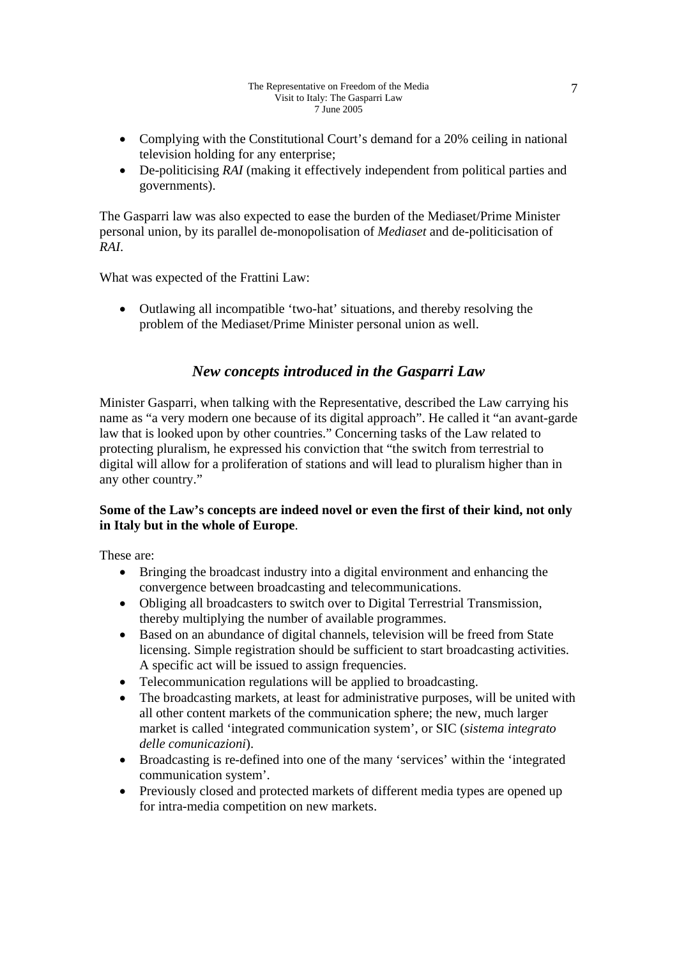- Complying with the Constitutional Court's demand for a 20% ceiling in national television holding for any enterprise;
- De-politicising *RAI* (making it effectively independent from political parties and governments).

The Gasparri law was also expected to ease the burden of the Mediaset/Prime Minister personal union, by its parallel de-monopolisation of *Mediaset* and de-politicisation of *RAI*.

What was expected of the Frattini Law:

• Outlawing all incompatible 'two-hat' situations, and thereby resolving the problem of the Mediaset/Prime Minister personal union as well.

# *New concepts introduced in the Gasparri Law*

Minister Gasparri, when talking with the Representative, described the Law carrying his name as "a very modern one because of its digital approach". He called it "an avant-garde law that is looked upon by other countries." Concerning tasks of the Law related to protecting pluralism, he expressed his conviction that "the switch from terrestrial to digital will allow for a proliferation of stations and will lead to pluralism higher than in any other country."

### **Some of the Law's concepts are indeed novel or even the first of their kind, not only in Italy but in the whole of Europe**.

These are:

- Bringing the broadcast industry into a digital environment and enhancing the convergence between broadcasting and telecommunications.
- Obliging all broadcasters to switch over to Digital Terrestrial Transmission, thereby multiplying the number of available programmes.
- Based on an abundance of digital channels, television will be freed from State licensing. Simple registration should be sufficient to start broadcasting activities. A specific act will be issued to assign frequencies.
- Telecommunication regulations will be applied to broadcasting.
- The broadcasting markets, at least for administrative purposes, will be united with all other content markets of the communication sphere; the new, much larger market is called 'integrated communication system', or SIC (*sistema integrato delle comunicazioni*).
- Broadcasting is re-defined into one of the many 'services' within the 'integrated communication system'.
- Previously closed and protected markets of different media types are opened up for intra-media competition on new markets.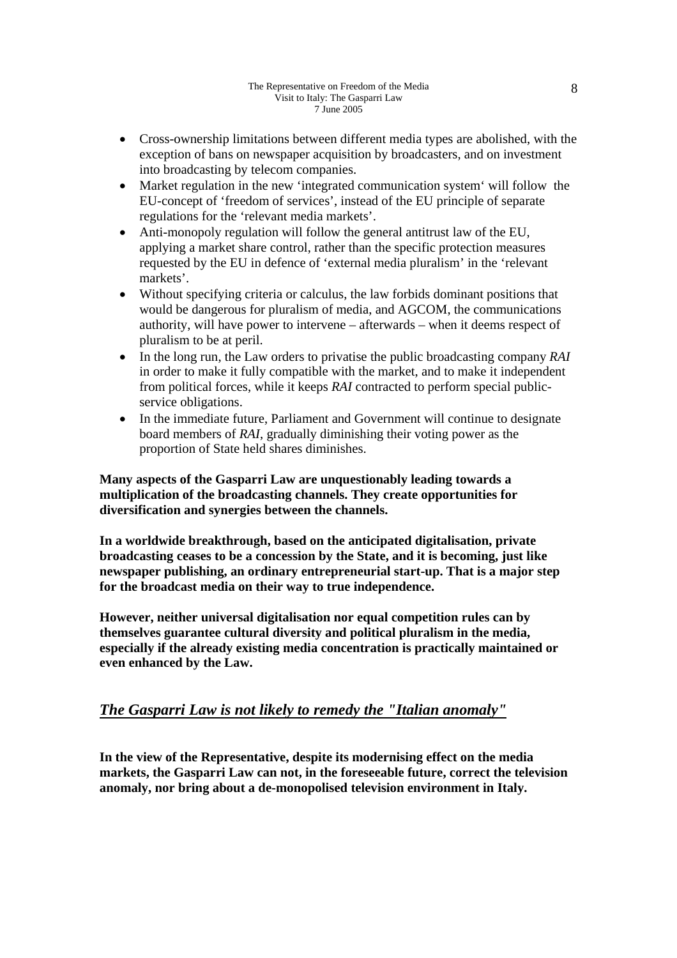- Cross-ownership limitations between different media types are abolished, with the exception of bans on newspaper acquisition by broadcasters, and on investment into broadcasting by telecom companies.
- Market regulation in the new 'integrated communication system' will follow the EU-concept of 'freedom of services', instead of the EU principle of separate regulations for the 'relevant media markets'.
- Anti-monopoly regulation will follow the general antitrust law of the EU, applying a market share control, rather than the specific protection measures requested by the EU in defence of 'external media pluralism' in the 'relevant markets'.
- Without specifying criteria or calculus, the law forbids dominant positions that would be dangerous for pluralism of media, and AGCOM, the communications authority, will have power to intervene – afterwards – when it deems respect of pluralism to be at peril.
- In the long run, the Law orders to privatise the public broadcasting company *RAI* in order to make it fully compatible with the market, and to make it independent from political forces, while it keeps *RAI* contracted to perform special publicservice obligations.
- In the immediate future, Parliament and Government will continue to designate board members of *RAI*, gradually diminishing their voting power as the proportion of State held shares diminishes.

**Many aspects of the Gasparri Law are unquestionably leading towards a multiplication of the broadcasting channels. They create opportunities for diversification and synergies between the channels.** 

**In a worldwide breakthrough, based on the anticipated digitalisation, private broadcasting ceases to be a concession by the State, and it is becoming, just like newspaper publishing, an ordinary entrepreneurial start-up. That is a major step for the broadcast media on their way to true independence.** 

**However, neither universal digitalisation nor equal competition rules can by themselves guarantee cultural diversity and political pluralism in the media, especially if the already existing media concentration is practically maintained or even enhanced by the Law.** 

# *The Gasparri Law is not likely to remedy the "Italian anomaly"*

**In the view of the Representative, despite its modernising effect on the media markets, the Gasparri Law can not, in the foreseeable future, correct the television anomaly, nor bring about a de-monopolised television environment in Italy.**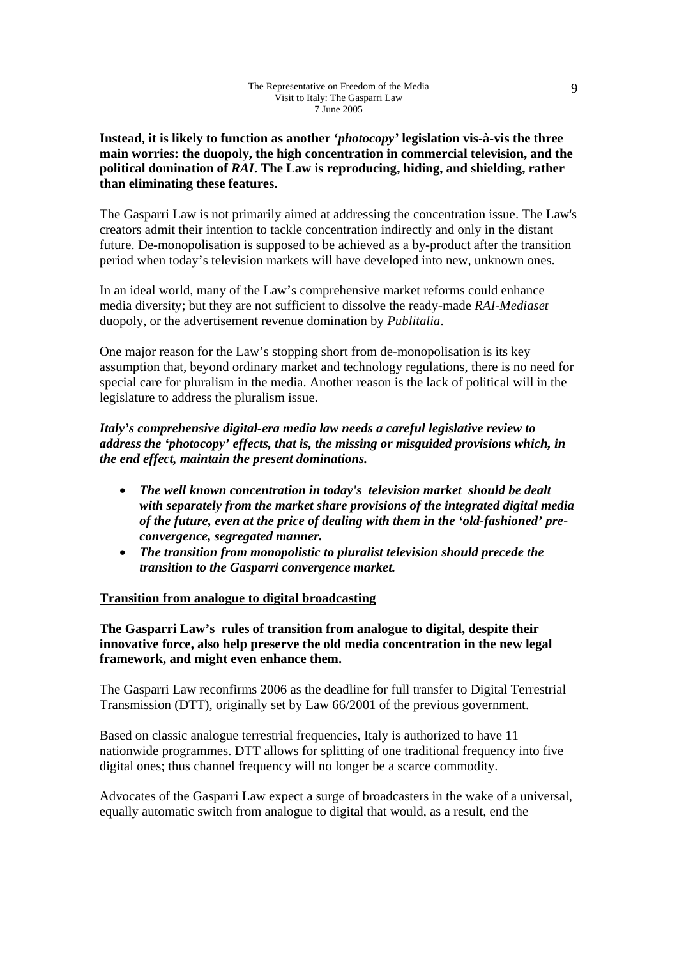**Instead, it is likely to function as another '***photocopy'* **legislation vis-à-vis the three main worries: the duopoly, the high concentration in commercial television, and the political domination of** *RAI***. The Law is reproducing, hiding, and shielding, rather than eliminating these features.** 

The Gasparri Law is not primarily aimed at addressing the concentration issue. The Law's creators admit their intention to tackle concentration indirectly and only in the distant future. De-monopolisation is supposed to be achieved as a by-product after the transition period when today's television markets will have developed into new, unknown ones.

In an ideal world, many of the Law's comprehensive market reforms could enhance media diversity; but they are not sufficient to dissolve the ready-made *RAI-Mediaset*  duopoly, or the advertisement revenue domination by *Publitalia*.

One major reason for the Law's stopping short from de-monopolisation is its key assumption that, beyond ordinary market and technology regulations, there is no need for special care for pluralism in the media. Another reason is the lack of political will in the legislature to address the pluralism issue.

*Italy's comprehensive digital-era media law needs a careful legislative review to address the 'photocopy' effects, that is, the missing or misguided provisions which, in the end effect, maintain the present dominations.* 

- *The well known concentration in today's television market should be dealt with separately from the market share provisions of the integrated digital media of the future, even at the price of dealing with them in the 'old-fashioned' preconvergence, segregated manner.*
- *The transition from monopolistic to pluralist television should precede the transition to the Gasparri convergence market.*

#### **Transition from analogue to digital broadcasting**

**The Gasparri Law's rules of transition from analogue to digital, despite their innovative force, also help preserve the old media concentration in the new legal framework, and might even enhance them.** 

The Gasparri Law reconfirms 2006 as the deadline for full transfer to Digital Terrestrial Transmission (DTT), originally set by Law 66/2001 of the previous government.

Based on classic analogue terrestrial frequencies, Italy is authorized to have 11 nationwide programmes. DTT allows for splitting of one traditional frequency into five digital ones; thus channel frequency will no longer be a scarce commodity.

Advocates of the Gasparri Law expect a surge of broadcasters in the wake of a universal, equally automatic switch from analogue to digital that would, as a result, end the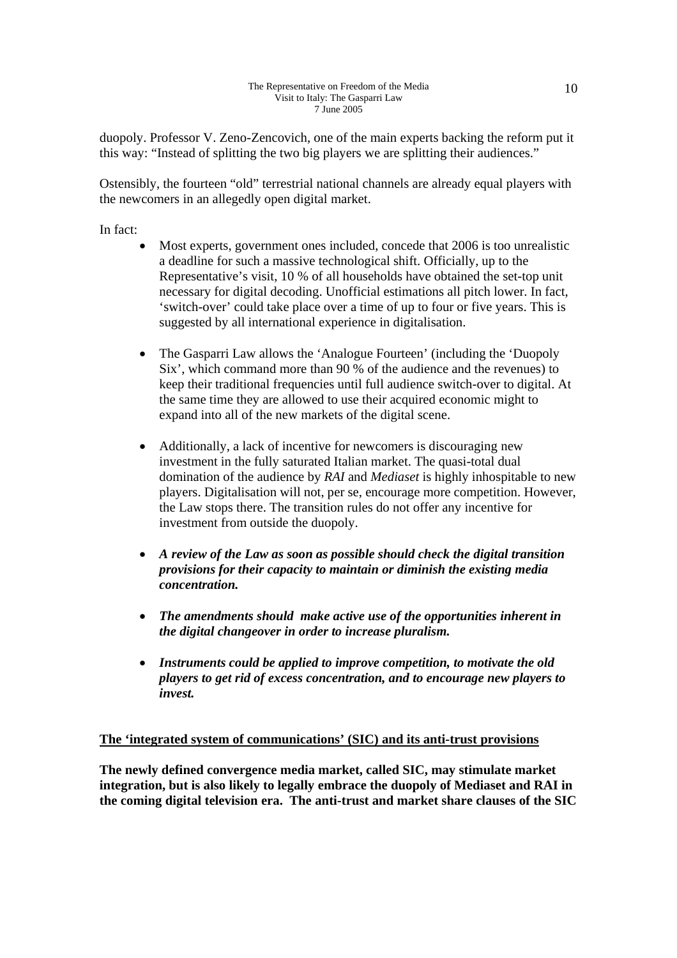duopoly. Professor V. Zeno-Zencovich, one of the main experts backing the reform put it this way: "Instead of splitting the two big players we are splitting their audiences."

Ostensibly, the fourteen "old" terrestrial national channels are already equal players with the newcomers in an allegedly open digital market.

In fact:

- Most experts, government ones included, concede that 2006 is too unrealistic a deadline for such a massive technological shift. Officially, up to the Representative's visit, 10 % of all households have obtained the set-top unit necessary for digital decoding. Unofficial estimations all pitch lower. In fact, 'switch-over' could take place over a time of up to four or five years. This is suggested by all international experience in digitalisation.
- The Gasparri Law allows the 'Analogue Fourteen' (including the 'Duopoly Six', which command more than 90 % of the audience and the revenues) to keep their traditional frequencies until full audience switch-over to digital. At the same time they are allowed to use their acquired economic might to expand into all of the new markets of the digital scene.
- Additionally, a lack of incentive for newcomers is discouraging new investment in the fully saturated Italian market. The quasi-total dual domination of the audience by *RAI* and *Mediaset* is highly inhospitable to new players. Digitalisation will not, per se, encourage more competition. However, the Law stops there. The transition rules do not offer any incentive for investment from outside the duopoly.
- *A review of the Law as soon as possible should check the digital transition provisions for their capacity to maintain or diminish the existing media concentration.*
- *The amendments should make active use of the opportunities inherent in the digital changeover in order to increase pluralism.*
- *Instruments could be applied to improve competition, to motivate the old players to get rid of excess concentration, and to encourage new players to invest.*

#### **The 'integrated system of communications' (SIC) and its anti-trust provisions**

**The newly defined convergence media market, called SIC, may stimulate market integration, but is also likely to legally embrace the duopoly of Mediaset and RAI in the coming digital television era. The anti-trust and market share clauses of the SIC**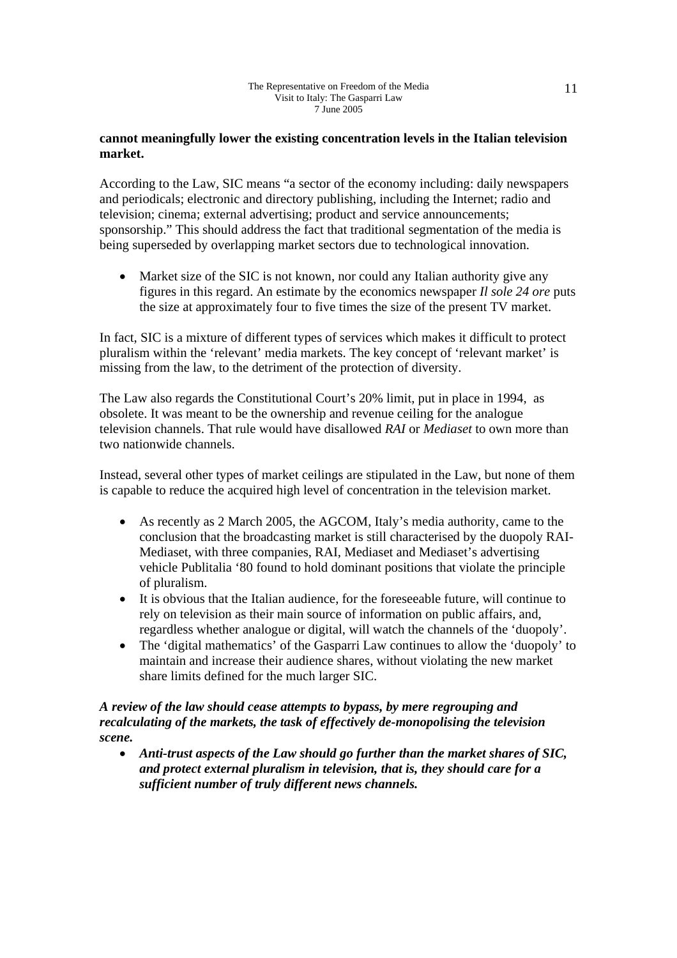#### **cannot meaningfully lower the existing concentration levels in the Italian television market.**

According to the Law, SIC means "a sector of the economy including: daily newspapers and periodicals; electronic and directory publishing, including the Internet; radio and television; cinema; external advertising; product and service announcements; sponsorship." This should address the fact that traditional segmentation of the media is being superseded by overlapping market sectors due to technological innovation.

• Market size of the SIC is not known, nor could any Italian authority give any figures in this regard. An estimate by the economics newspaper *Il sole 24 ore* puts the size at approximately four to five times the size of the present TV market.

In fact, SIC is a mixture of different types of services which makes it difficult to protect pluralism within the 'relevant' media markets. The key concept of 'relevant market' is missing from the law, to the detriment of the protection of diversity.

The Law also regards the Constitutional Court's 20% limit, put in place in 1994, as obsolete. It was meant to be the ownership and revenue ceiling for the analogue television channels. That rule would have disallowed *RAI* or *Mediaset* to own more than two nationwide channels.

Instead, several other types of market ceilings are stipulated in the Law, but none of them is capable to reduce the acquired high level of concentration in the television market.

- As recently as 2 March 2005, the AGCOM, Italy's media authority, came to the conclusion that the broadcasting market is still characterised by the duopoly RAI-Mediaset, with three companies, RAI, Mediaset and Mediaset's advertising vehicle Publitalia '80 found to hold dominant positions that violate the principle of pluralism.
- It is obvious that the Italian audience, for the foreseeable future, will continue to rely on television as their main source of information on public affairs, and, regardless whether analogue or digital, will watch the channels of the 'duopoly'.
- The 'digital mathematics' of the Gasparri Law continues to allow the 'duopoly' to maintain and increase their audience shares, without violating the new market share limits defined for the much larger SIC.

#### *A review of the law should cease attempts to bypass, by mere regrouping and recalculating of the markets, the task of effectively de-monopolising the television scene.*

• *Anti-trust aspects of the Law should go further than the market shares of SIC, and protect external pluralism in television, that is, they should care for a sufficient number of truly different news channels.*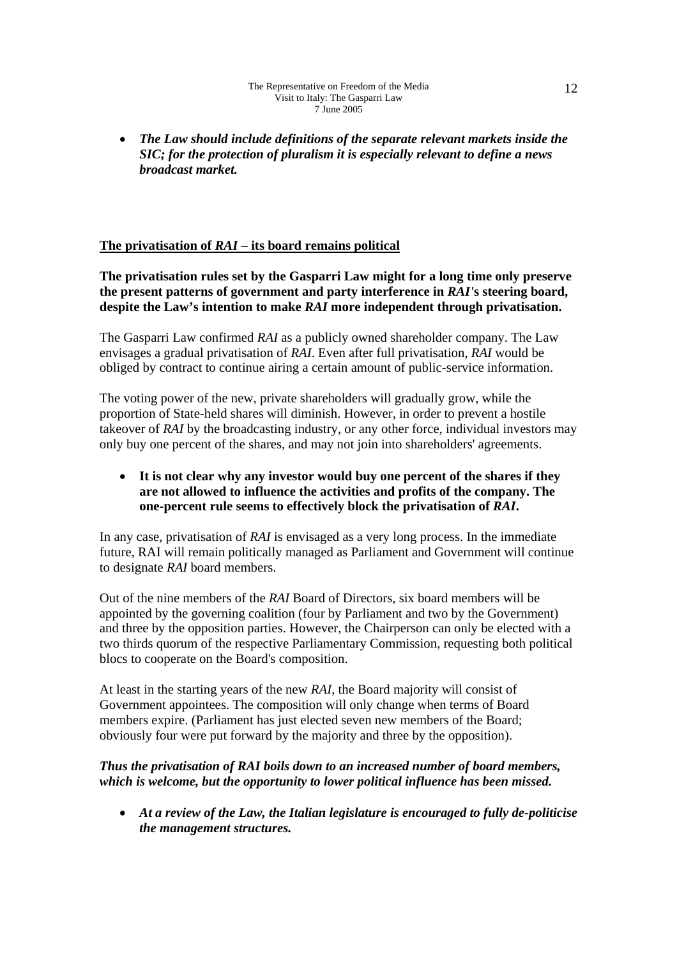• *The Law should include definitions of the separate relevant markets inside the SIC; for the protection of pluralism it is especially relevant to define a news broadcast market.* 

# **The privatisation of** *RAI* **– its board remains political**

**The privatisation rules set by the Gasparri Law might for a long time only preserve the present patterns of government and party interference in** *RAI'***s steering board, despite the Law's intention to make** *RAI* **more independent through privatisation.** 

The Gasparri Law confirmed *RAI* as a publicly owned shareholder company. The Law envisages a gradual privatisation of *RAI*. Even after full privatisation, *RAI* would be obliged by contract to continue airing a certain amount of public-service information.

The voting power of the new, private shareholders will gradually grow, while the proportion of State-held shares will diminish. However, in order to prevent a hostile takeover of *RAI* by the broadcasting industry, or any other force, individual investors may only buy one percent of the shares, and may not join into shareholders' agreements.

### • **It is not clear why any investor would buy one percent of the shares if they are not allowed to influence the activities and profits of the company. The one-percent rule seems to effectively block the privatisation of** *RAI***.**

In any case, privatisation of *RAI* is envisaged as a very long process. In the immediate future, RAI will remain politically managed as Parliament and Government will continue to designate *RAI* board members.

Out of the nine members of the *RAI* Board of Directors, six board members will be appointed by the governing coalition (four by Parliament and two by the Government) and three by the opposition parties. However, the Chairperson can only be elected with a two thirds quorum of the respective Parliamentary Commission, requesting both political blocs to cooperate on the Board's composition.

At least in the starting years of the new *RAI*, the Board majority will consist of Government appointees. The composition will only change when terms of Board members expire. (Parliament has just elected seven new members of the Board; obviously four were put forward by the majority and three by the opposition).

### *Thus the privatisation of RAI boils down to an increased number of board members, which is welcome, but the opportunity to lower political influence has been missed.*

• *At a review of the Law, the Italian legislature is encouraged to fully de-politicise the management structures.*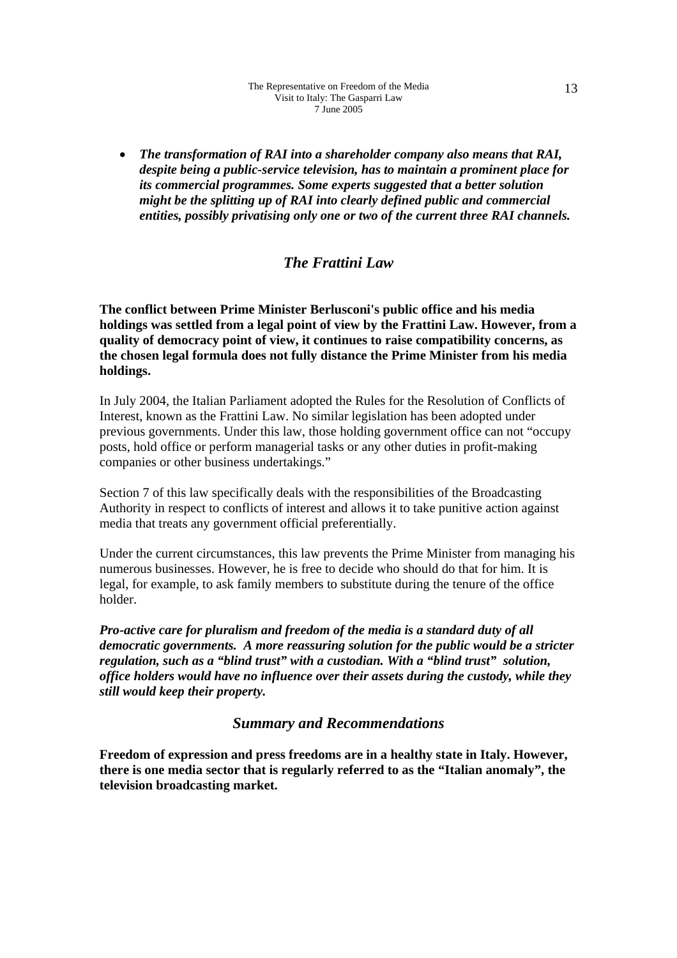• *The transformation of RAI into a shareholder company also means that RAI, despite being a public-service television, has to maintain a prominent place for its commercial programmes. Some experts suggested that a better solution might be the splitting up of RAI into clearly defined public and commercial entities, possibly privatising only one or two of the current three RAI channels.* 

# *The Frattini Law*

**The conflict between Prime Minister Berlusconi's public office and his media holdings was settled from a legal point of view by the Frattini Law. However, from a quality of democracy point of view, it continues to raise compatibility concerns, as the chosen legal formula does not fully distance the Prime Minister from his media holdings.** 

In July 2004, the Italian Parliament adopted the Rules for the Resolution of Conflicts of Interest, known as the Frattini Law. No similar legislation has been adopted under previous governments. Under this law, those holding government office can not "occupy posts, hold office or perform managerial tasks or any other duties in profit-making companies or other business undertakings."

Section 7 of this law specifically deals with the responsibilities of the Broadcasting Authority in respect to conflicts of interest and allows it to take punitive action against media that treats any government official preferentially.

Under the current circumstances, this law prevents the Prime Minister from managing his numerous businesses. However, he is free to decide who should do that for him. It is legal, for example, to ask family members to substitute during the tenure of the office holder.

*Pro-active care for pluralism and freedom of the media is a standard duty of all democratic governments. A more reassuring solution for the public would be a stricter regulation, such as a "blind trust" with a custodian. With a "blind trust" solution, office holders would have no influence over their assets during the custody, while they still would keep their property.* 

### *Summary and Recommendations*

**Freedom of expression and press freedoms are in a healthy state in Italy. However, there is one media sector that is regularly referred to as the "Italian anomaly", the television broadcasting market.**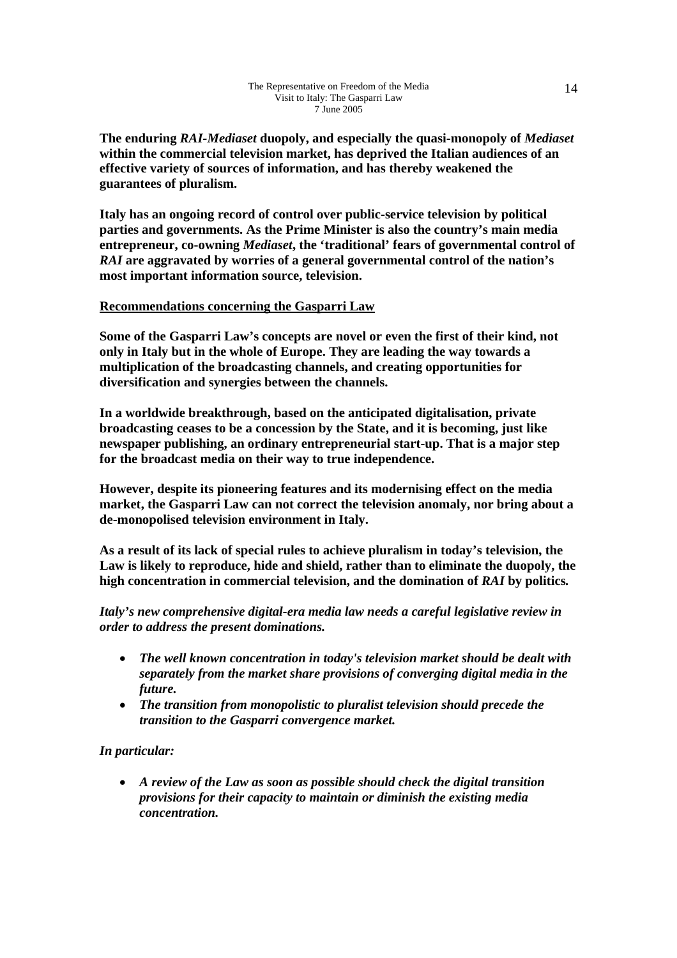**The enduring** *RAI-Mediaset* **duopoly, and especially the quasi-monopoly of** *Mediaset* **within the commercial television market, has deprived the Italian audiences of an effective variety of sources of information, and has thereby weakened the guarantees of pluralism.** 

**Italy has an ongoing record of control over public-service television by political parties and governments. As the Prime Minister is also the country's main media entrepreneur, co-owning** *Mediaset***, the 'traditional' fears of governmental control of**  *RAI* **are aggravated by worries of a general governmental control of the nation's most important information source, television.** 

#### **Recommendations concerning the Gasparri Law**

**Some of the Gasparri Law's concepts are novel or even the first of their kind, not only in Italy but in the whole of Europe. They are leading the way towards a multiplication of the broadcasting channels, and creating opportunities for diversification and synergies between the channels.** 

**In a worldwide breakthrough, based on the anticipated digitalisation, private broadcasting ceases to be a concession by the State, and it is becoming, just like newspaper publishing, an ordinary entrepreneurial start-up. That is a major step for the broadcast media on their way to true independence.** 

**However, despite its pioneering features and its modernising effect on the media market, the Gasparri Law can not correct the television anomaly, nor bring about a de-monopolised television environment in Italy.** 

**As a result of its lack of special rules to achieve pluralism in today's television, the Law is likely to reproduce, hide and shield, rather than to eliminate the duopoly, the high concentration in commercial television, and the domination of** *RAI* **by politics***.*

*Italy's new comprehensive digital-era media law needs a careful legislative review in order to address the present dominations.* 

- *The well known concentration in today's television market should be dealt with separately from the market share provisions of converging digital media in the future.*
- *The transition from monopolistic to pluralist television should precede the transition to the Gasparri convergence market.*

#### *In particular:*

• *A review of the Law as soon as possible should check the digital transition provisions for their capacity to maintain or diminish the existing media concentration.*